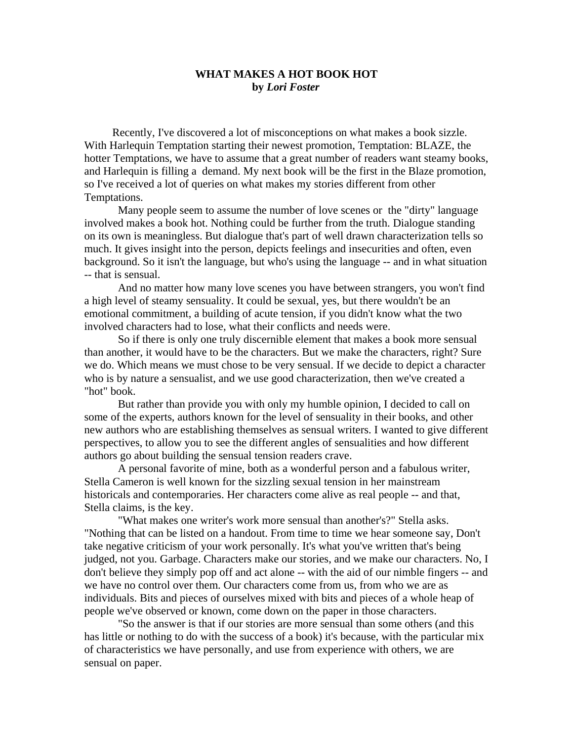## **WHAT MAKES A HOT BOOK HOT by** *Lori Foster*

 Recently, I've discovered a lot of misconceptions on what makes a book sizzle. With Harlequin Temptation starting their newest promotion, Temptation: BLAZE, the hotter Temptations, we have to assume that a great number of readers want steamy books, and Harlequin is filling a demand. My next book will be the first in the Blaze promotion, so I've received a lot of queries on what makes my stories different from other Temptations.

Many people seem to assume the number of love scenes or the "dirty" language involved makes a book hot. Nothing could be further from the truth. Dialogue standing on its own is meaningless. But dialogue that's part of well drawn characterization tells so much. It gives insight into the person, depicts feelings and insecurities and often, even background. So it isn't the language, but who's using the language -- and in what situation -- that is sensual.

And no matter how many love scenes you have between strangers, you won't find a high level of steamy sensuality. It could be sexual, yes, but there wouldn't be an emotional commitment, a building of acute tension, if you didn't know what the two involved characters had to lose, what their conflicts and needs were.

So if there is only one truly discernible element that makes a book more sensual than another, it would have to be the characters. But we make the characters, right? Sure we do. Which means we must chose to be very sensual. If we decide to depict a character who is by nature a sensualist, and we use good characterization, then we've created a "hot" book.

But rather than provide you with only my humble opinion, I decided to call on some of the experts, authors known for the level of sensuality in their books, and other new authors who are establishing themselves as sensual writers. I wanted to give different perspectives, to allow you to see the different angles of sensualities and how different authors go about building the sensual tension readers crave.

A personal favorite of mine, both as a wonderful person and a fabulous writer, Stella Cameron is well known for the sizzling sexual tension in her mainstream historicals and contemporaries. Her characters come alive as real people -- and that, Stella claims, is the key.

"What makes one writer's work more sensual than another's?" Stella asks. "Nothing that can be listed on a handout. From time to time we hear someone say, Don't take negative criticism of your work personally. It's what you've written that's being judged, not you. Garbage. Characters make our stories, and we make our characters. No, I don't believe they simply pop off and act alone -- with the aid of our nimble fingers -- and we have no control over them. Our characters come from us, from who we are as individuals. Bits and pieces of ourselves mixed with bits and pieces of a whole heap of people we've observed or known, come down on the paper in those characters.

"So the answer is that if our stories are more sensual than some others (and this has little or nothing to do with the success of a book) it's because, with the particular mix of characteristics we have personally, and use from experience with others, we are sensual on paper.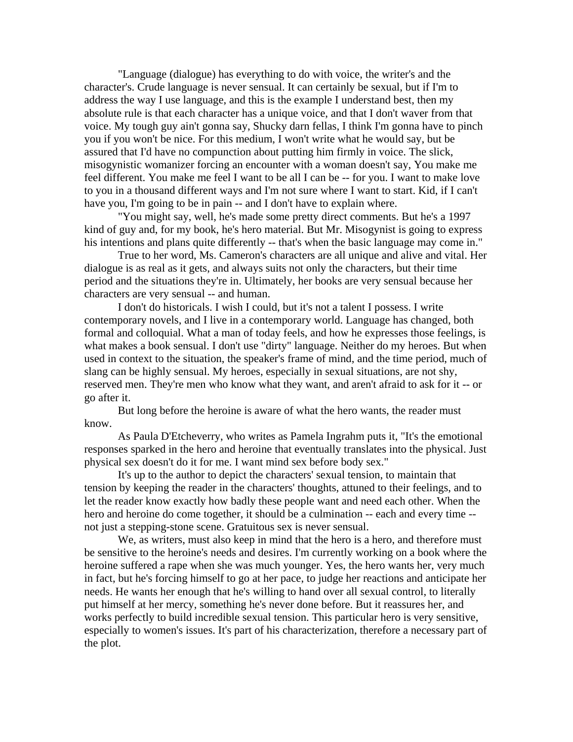"Language (dialogue) has everything to do with voice, the writer's and the character's. Crude language is never sensual. It can certainly be sexual, but if I'm to address the way I use language, and this is the example I understand best, then my absolute rule is that each character has a unique voice, and that I don't waver from that voice. My tough guy ain't gonna say, Shucky darn fellas, I think I'm gonna have to pinch you if you won't be nice. For this medium, I won't write what he would say, but be assured that I'd have no compunction about putting him firmly in voice. The slick, misogynistic womanizer forcing an encounter with a woman doesn't say, You make me feel different. You make me feel I want to be all I can be -- for you. I want to make love to you in a thousand different ways and I'm not sure where I want to start. Kid, if I can't have you, I'm going to be in pain -- and I don't have to explain where.

"You might say, well, he's made some pretty direct comments. But he's a 1997 kind of guy and, for my book, he's hero material. But Mr. Misogynist is going to express his intentions and plans quite differently -- that's when the basic language may come in."

True to her word, Ms. Cameron's characters are all unique and alive and vital. Her dialogue is as real as it gets, and always suits not only the characters, but their time period and the situations they're in. Ultimately, her books are very sensual because her characters are very sensual -- and human.

I don't do historicals. I wish I could, but it's not a talent I possess. I write contemporary novels, and I live in a contemporary world. Language has changed, both formal and colloquial. What a man of today feels, and how he expresses those feelings, is what makes a book sensual. I don't use "dirty" language. Neither do my heroes. But when used in context to the situation, the speaker's frame of mind, and the time period, much of slang can be highly sensual. My heroes, especially in sexual situations, are not shy, reserved men. They're men who know what they want, and aren't afraid to ask for it -- or go after it.

But long before the heroine is aware of what the hero wants, the reader must know.

As Paula D'Etcheverry, who writes as Pamela Ingrahm puts it, "It's the emotional responses sparked in the hero and heroine that eventually translates into the physical. Just physical sex doesn't do it for me. I want mind sex before body sex."

It's up to the author to depict the characters' sexual tension, to maintain that tension by keeping the reader in the characters' thoughts, attuned to their feelings, and to let the reader know exactly how badly these people want and need each other. When the hero and heroine do come together, it should be a culmination -- each and every time - not just a stepping-stone scene. Gratuitous sex is never sensual.

We, as writers, must also keep in mind that the hero is a hero, and therefore must be sensitive to the heroine's needs and desires. I'm currently working on a book where the heroine suffered a rape when she was much younger. Yes, the hero wants her, very much in fact, but he's forcing himself to go at her pace, to judge her reactions and anticipate her needs. He wants her enough that he's willing to hand over all sexual control, to literally put himself at her mercy, something he's never done before. But it reassures her, and works perfectly to build incredible sexual tension. This particular hero is very sensitive, especially to women's issues. It's part of his characterization, therefore a necessary part of the plot.